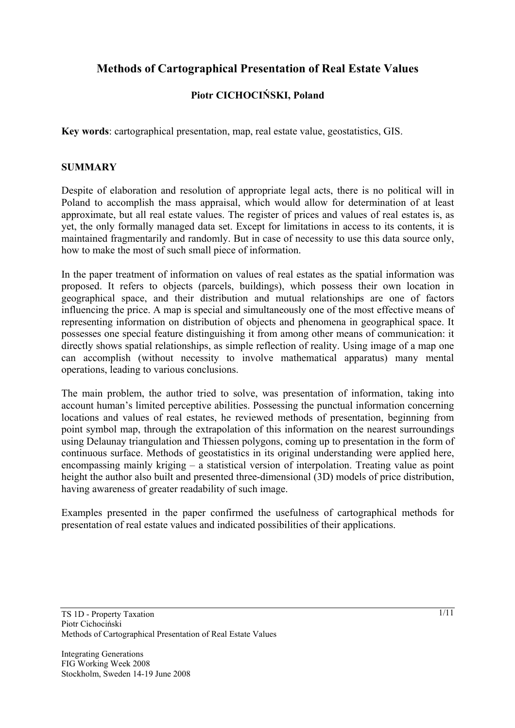# **Methods of Cartographical Presentation of Real Estate Values**

## **Piotr CICHOCIŃSKI, Poland**

**Key words**: cartographical presentation, map, real estate value, geostatistics, GIS.

#### **SUMMARY**

Despite of elaboration and resolution of appropriate legal acts, there is no political will in Poland to accomplish the mass appraisal, which would allow for determination of at least approximate, but all real estate values. The register of prices and values of real estates is, as yet, the only formally managed data set. Except for limitations in access to its contents, it is maintained fragmentarily and randomly. But in case of necessity to use this data source only, how to make the most of such small piece of information.

In the paper treatment of information on values of real estates as the spatial information was proposed. It refers to objects (parcels, buildings), which possess their own location in geographical space, and their distribution and mutual relationships are one of factors influencing the price. A map is special and simultaneously one of the most effective means of representing information on distribution of objects and phenomena in geographical space. It possesses one special feature distinguishing it from among other means of communication: it directly shows spatial relationships, as simple reflection of reality. Using image of a map one can accomplish (without necessity to involve mathematical apparatus) many mental operations, leading to various conclusions.

The main problem, the author tried to solve, was presentation of information, taking into account human's limited perceptive abilities. Possessing the punctual information concerning locations and values of real estates, he reviewed methods of presentation, beginning from point symbol map, through the extrapolation of this information on the nearest surroundings using Delaunay triangulation and Thiessen polygons, coming up to presentation in the form of continuous surface. Methods of geostatistics in its original understanding were applied here, encompassing mainly kriging – a statistical version of interpolation. Treating value as point height the author also built and presented three-dimensional (3D) models of price distribution, having awareness of greater readability of such image.

Examples presented in the paper confirmed the usefulness of cartographical methods for presentation of real estate values and indicated possibilities of their applications.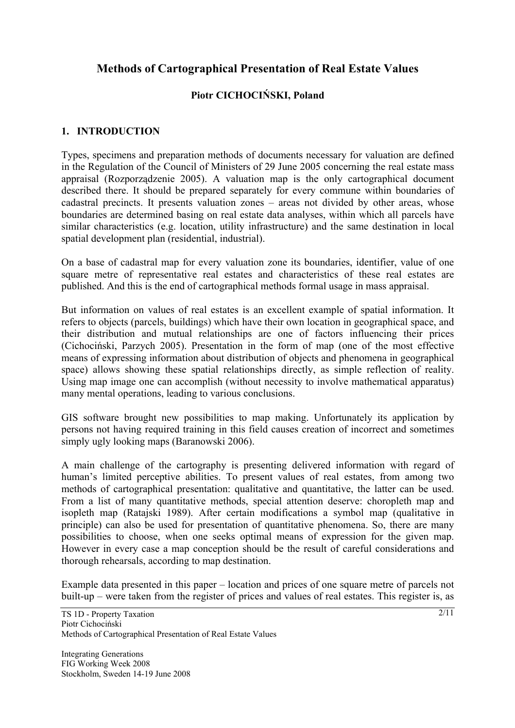# **Methods of Cartographical Presentation of Real Estate Values**

## **Piotr CICHOCIŃSKI, Poland**

### **1. INTRODUCTION**

Types, specimens and preparation methods of documents necessary for valuation are defined in the Regulation of the Council of Ministers of 29 June 2005 concerning the real estate mass appraisal (Rozporządzenie 2005). A valuation map is the only cartographical document described there. It should be prepared separately for every commune within boundaries of cadastral precincts. It presents valuation zones – areas not divided by other areas, whose boundaries are determined basing on real estate data analyses, within which all parcels have similar characteristics (e.g. location, utility infrastructure) and the same destination in local spatial development plan (residential, industrial).

On a base of cadastral map for every valuation zone its boundaries, identifier, value of one square metre of representative real estates and characteristics of these real estates are published. And this is the end of cartographical methods formal usage in mass appraisal.

But information on values of real estates is an excellent example of spatial information. It refers to objects (parcels, buildings) which have their own location in geographical space, and their distribution and mutual relationships are one of factors influencing their prices (Cichociński, Parzych 2005). Presentation in the form of map (one of the most effective means of expressing information about distribution of objects and phenomena in geographical space) allows showing these spatial relationships directly, as simple reflection of reality. Using map image one can accomplish (without necessity to involve mathematical apparatus) many mental operations, leading to various conclusions.

GIS software brought new possibilities to map making. Unfortunately its application by persons not having required training in this field causes creation of incorrect and sometimes simply ugly looking maps (Baranowski 2006).

A main challenge of the cartography is presenting delivered information with regard of human's limited perceptive abilities. To present values of real estates, from among two methods of cartographical presentation: qualitative and quantitative, the latter can be used. From a list of many quantitative methods, special attention deserve: choropleth map and isopleth map (Ratajski 1989). After certain modifications a symbol map (qualitative in principle) can also be used for presentation of quantitative phenomena. So, there are many possibilities to choose, when one seeks optimal means of expression for the given map. However in every case a map conception should be the result of careful considerations and thorough rehearsals, according to map destination.

Example data presented in this paper – location and prices of one square metre of parcels not built-up – were taken from the register of prices and values of real estates. This register is, as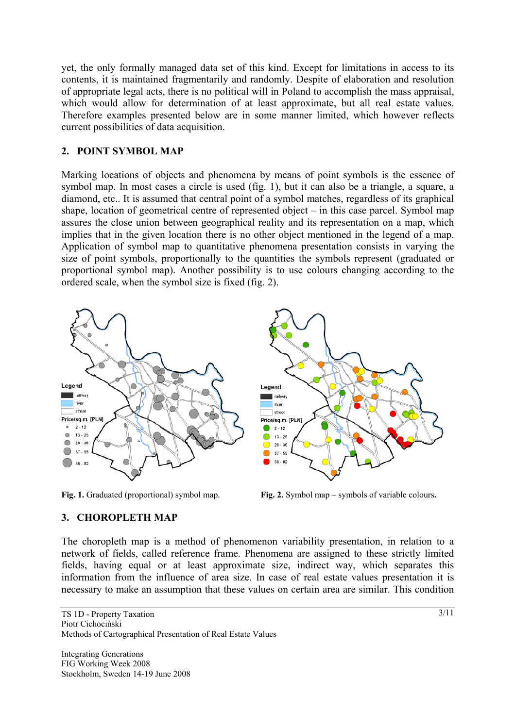yet, the only formally managed data set of this kind. Except for limitations in access to its contents, it is maintained fragmentarily and randomly. Despite of elaboration and resolution of appropriate legal acts, there is no political will in Poland to accomplish the mass appraisal, which would allow for determination of at least approximate, but all real estate values. Therefore examples presented below are in some manner limited, which however reflects current possibilities of data acquisition.

### **2. POINT SYMBOL MAP**

Marking locations of objects and phenomena by means of point symbols is the essence of symbol map. In most cases a circle is used (fig. 1), but it can also be a triangle, a square, a diamond, etc.. It is assumed that central point of a symbol matches, regardless of its graphical shape, location of geometrical centre of represented object – in this case parcel. Symbol map assures the close union between geographical reality and its representation on a map, which implies that in the given location there is no other object mentioned in the legend of a map. Application of symbol map to quantitative phenomena presentation consists in varying the size of point symbols, proportionally to the quantities the symbols represent (graduated or proportional symbol map). Another possibility is to use colours changing according to the ordered scale, when the symbol size is fixed (fig. 2).



**Fig. 1.** Graduated (proportional) symbol map. **Fig. 2.** Symbol map – symbols of variable colours.

## **3. CHOROPLETH MAP**

The choropleth map is a method of phenomenon variability presentation, in relation to a network of fields, called reference frame. Phenomena are assigned to these strictly limited fields, having equal or at least approximate size, indirect way, which separates this information from the influence of area size. In case of real estate values presentation it is necessary to make an assumption that these values on certain area are similar. This condition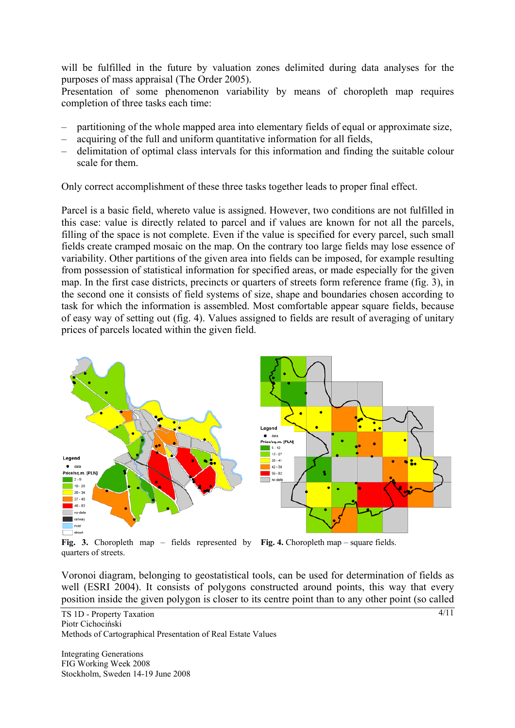will be fulfilled in the future by valuation zones delimited during data analyses for the purposes of mass appraisal (The Order 2005).

Presentation of some phenomenon variability by means of choropleth map requires completion of three tasks each time:

- partitioning of the whole mapped area into elementary fields of equal or approximate size,
- acquiring of the full and uniform quantitative information for all fields,
- delimitation of optimal class intervals for this information and finding the suitable colour scale for them.

Only correct accomplishment of these three tasks together leads to proper final effect.

Parcel is a basic field, whereto value is assigned. However, two conditions are not fulfilled in this case: value is directly related to parcel and if values are known for not all the parcels, filling of the space is not complete. Even if the value is specified for every parcel, such small fields create cramped mosaic on the map. On the contrary too large fields may lose essence of variability. Other partitions of the given area into fields can be imposed, for example resulting from possession of statistical information for specified areas, or made especially for the given map. In the first case districts, precincts or quarters of streets form reference frame (fig. 3), in the second one it consists of field systems of size, shape and boundaries chosen according to task for which the information is assembled. Most comfortable appear square fields, because of easy way of setting out (fig. 4). Values assigned to fields are result of averaging of unitary prices of parcels located within the given field.



**Fig. 3.** Choropleth map – fields represented by **Fig. 4.** Choropleth map – square fields. quarters of streets.

Voronoi diagram, belonging to geostatistical tools, can be used for determination of fields as well (ESRI 2004). It consists of polygons constructed around points, this way that every position inside the given polygon is closer to its centre point than to any other point (so called

TS 1D - Property Taxation Piotr Cichociński Methods of Cartographical Presentation of Real Estate Values

Integrating Generations FIG Working Week 2008 Stockholm, Sweden 14-19 June 2008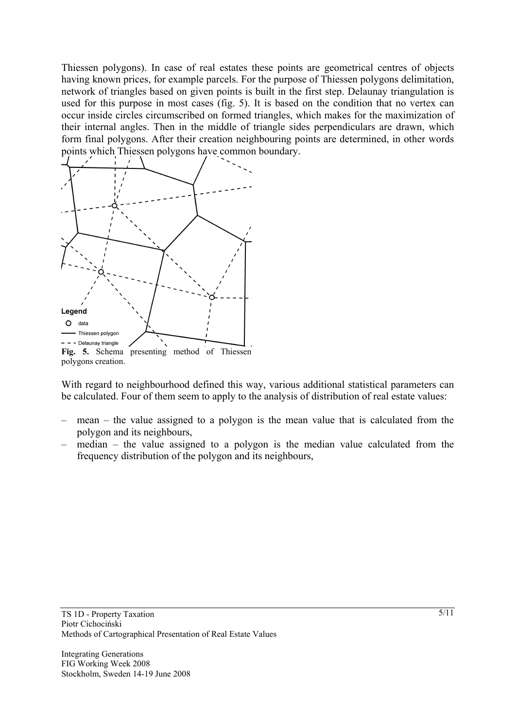Thiessen polygons). In case of real estates these points are geometrical centres of objects having known prices, for example parcels. For the purpose of Thiessen polygons delimitation, network of triangles based on given points is built in the first step. Delaunay triangulation is used for this purpose in most cases (fig. 5). It is based on the condition that no vertex can occur inside circles circumscribed on formed triangles, which makes for the maximization of their internal angles. Then in the middle of triangle sides perpendiculars are drawn, which form final polygons. After their creation neighbouring points are determined, in other words points which Thiessen polygons have common boundary.



With regard to neighbourhood defined this way, various additional statistical parameters can be calculated. Four of them seem to apply to the analysis of distribution of real estate values:

- mean the value assigned to a polygon is the mean value that is calculated from the polygon and its neighbours,
- median the value assigned to a polygon is the median value calculated from the frequency distribution of the polygon and its neighbours,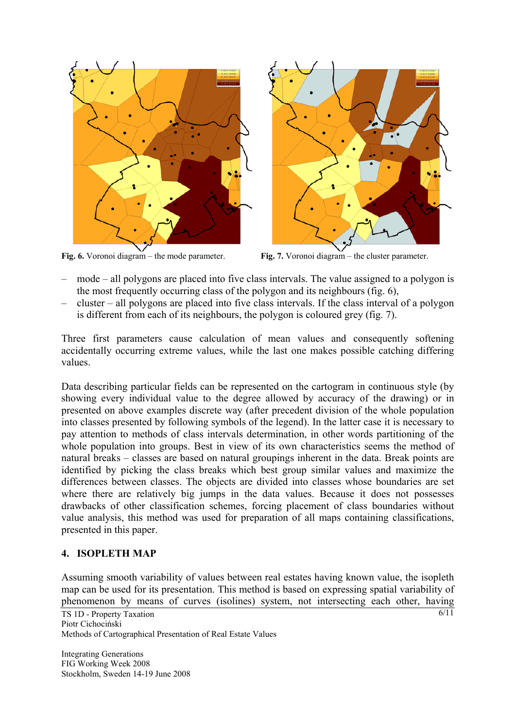



- mode all polygons are placed into five class intervals. The value assigned to a polygon is the most frequently occurring class of the polygon and its neighbours (fig. 6),
- cluster all polygons are placed into five class intervals. If the class interval of a polygon is different from each of its neighbours, the polygon is coloured grey (fig. 7).

Three first parameters cause calculation of mean values and consequently softening accidentally occurring extreme values, while the last one makes possible catching differing values.

Data describing particular fields can be represented on the cartogram in continuous style (by showing every individual value to the degree allowed by accuracy of the drawing) or in presented on above examples discrete way (after precedent division of the whole population into classes presented by following symbols of the legend). In the latter case it is necessary to pay attention to methods of class intervals determination, in other words partitioning of the whole population into groups. Best in view of its own characteristics seems the method of natural breaks – classes are based on natural groupings inherent in the data. Break points are identified by picking the class breaks which best group similar values and maximize the differences between classes. The objects are divided into classes whose boundaries are set where there are relatively big jumps in the data values. Because it does not possesses drawbacks of other classification schemes, forcing placement of class boundaries without value analysis, this method was used for preparation of all maps containing classifications, presented in this paper.

## **4. ISOPLETH MAP**

Assuming smooth variability of values between real estates having known value, the isopleth map can be used for its presentation. This method is based on expressing spatial variability of phenomenon by means of curves (isolines) system, not intersecting each other, having

TS 1D - Property Taxation Piotr Cichociński Methods of Cartographical Presentation of Real Estate Values

Integrating Generations FIG Working Week 2008 Stockholm, Sweden 14-19 June 2008  $6/11$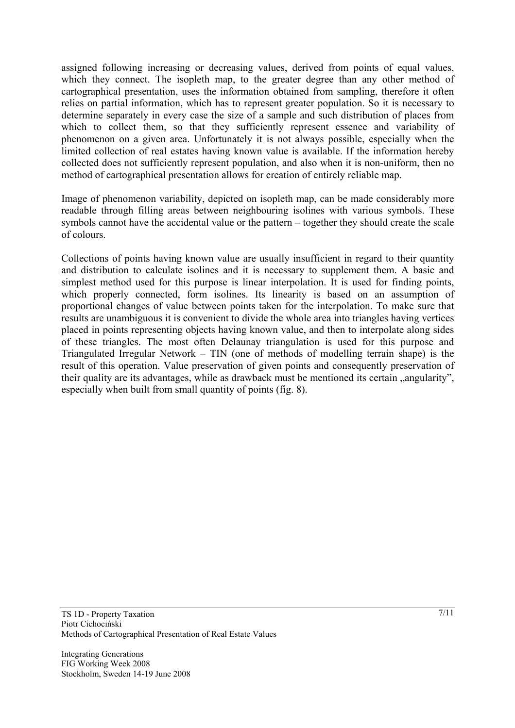assigned following increasing or decreasing values, derived from points of equal values, which they connect. The isopleth map, to the greater degree than any other method of cartographical presentation, uses the information obtained from sampling, therefore it often relies on partial information, which has to represent greater population. So it is necessary to determine separately in every case the size of a sample and such distribution of places from which to collect them, so that they sufficiently represent essence and variability of phenomenon on a given area. Unfortunately it is not always possible, especially when the limited collection of real estates having known value is available. If the information hereby collected does not sufficiently represent population, and also when it is non-uniform, then no method of cartographical presentation allows for creation of entirely reliable map.

Image of phenomenon variability, depicted on isopleth map, can be made considerably more readable through filling areas between neighbouring isolines with various symbols. These symbols cannot have the accidental value or the pattern – together they should create the scale of colours.

Collections of points having known value are usually insufficient in regard to their quantity and distribution to calculate isolines and it is necessary to supplement them. A basic and simplest method used for this purpose is linear interpolation. It is used for finding points, which properly connected, form isolines. Its linearity is based on an assumption of proportional changes of value between points taken for the interpolation. To make sure that results are unambiguous it is convenient to divide the whole area into triangles having vertices placed in points representing objects having known value, and then to interpolate along sides of these triangles. The most often Delaunay triangulation is used for this purpose and Triangulated Irregular Network – TIN (one of methods of modelling terrain shape) is the result of this operation. Value preservation of given points and consequently preservation of their quality are its advantages, while as drawback must be mentioned its certain , angularity", especially when built from small quantity of points (fig. 8).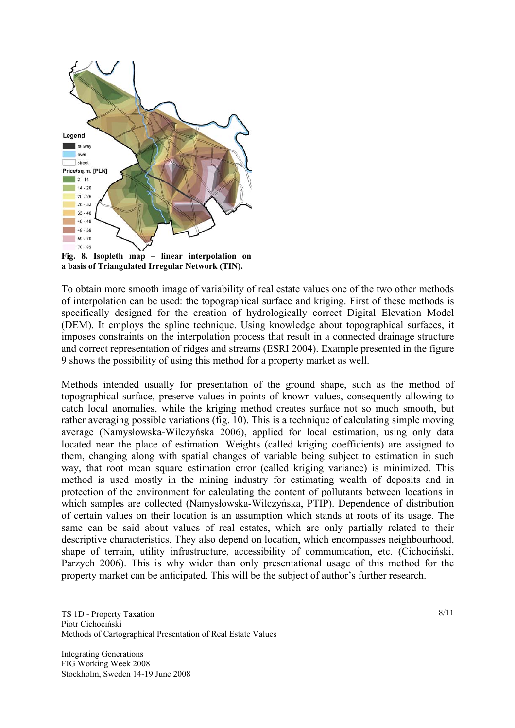

**Fig. 8. Isopleth map – linear interpolation on a basis of Triangulated Irregular Network (TIN).** 

To obtain more smooth image of variability of real estate values one of the two other methods of interpolation can be used: the topographical surface and kriging. First of these methods is specifically designed for the creation of hydrologically correct Digital Elevation Model (DEM). It employs the spline technique. Using knowledge about topographical surfaces, it imposes constraints on the interpolation process that result in a connected drainage structure and correct representation of ridges and streams (ESRI 2004). Example presented in the figure 9 shows the possibility of using this method for a property market as well.

Methods intended usually for presentation of the ground shape, such as the method of topographical surface, preserve values in points of known values, consequently allowing to catch local anomalies, while the kriging method creates surface not so much smooth, but rather averaging possible variations (fig. 10). This is a technique of calculating simple moving average (Namysłowska-Wilczyńska 2006), applied for local estimation, using only data located near the place of estimation. Weights (called kriging coefficients) are assigned to them, changing along with spatial changes of variable being subject to estimation in such way, that root mean square estimation error (called kriging variance) is minimized. This method is used mostly in the mining industry for estimating wealth of deposits and in protection of the environment for calculating the content of pollutants between locations in which samples are collected (Namysłowska-Wilczyńska, PTIP). Dependence of distribution of certain values on their location is an assumption which stands at roots of its usage. The same can be said about values of real estates, which are only partially related to their descriptive characteristics. They also depend on location, which encompasses neighbourhood, shape of terrain, utility infrastructure, accessibility of communication, etc. (Cichociński, Parzych 2006). This is why wider than only presentational usage of this method for the property market can be anticipated. This will be the subject of author's further research.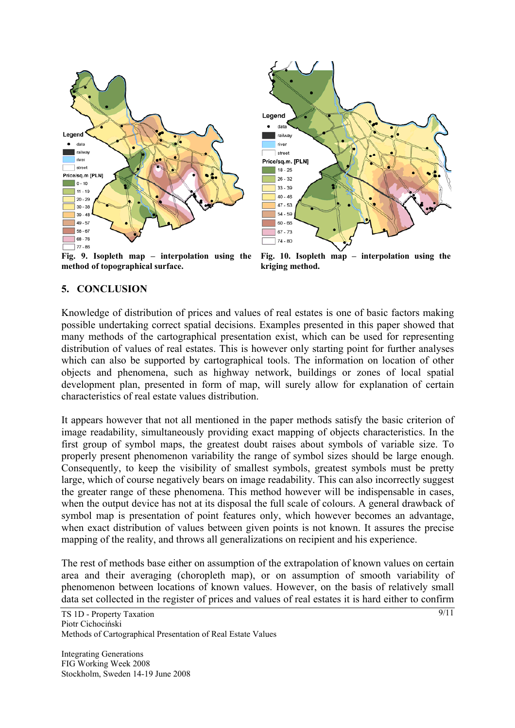



**Fig. 9. Isopleth map – interpolation using the method of topographical surface.** 

**Fig. 10. Isopleth map – interpolation using the kriging method.** 

#### **5. CONCLUSION**

Knowledge of distribution of prices and values of real estates is one of basic factors making possible undertaking correct spatial decisions. Examples presented in this paper showed that many methods of the cartographical presentation exist, which can be used for representing distribution of values of real estates. This is however only starting point for further analyses which can also be supported by cartographical tools. The information on location of other objects and phenomena, such as highway network, buildings or zones of local spatial development plan, presented in form of map, will surely allow for explanation of certain characteristics of real estate values distribution.

It appears however that not all mentioned in the paper methods satisfy the basic criterion of image readability, simultaneously providing exact mapping of objects characteristics. In the first group of symbol maps, the greatest doubt raises about symbols of variable size. To properly present phenomenon variability the range of symbol sizes should be large enough. Consequently, to keep the visibility of smallest symbols, greatest symbols must be pretty large, which of course negatively bears on image readability. This can also incorrectly suggest the greater range of these phenomena. This method however will be indispensable in cases, when the output device has not at its disposal the full scale of colours. A general drawback of symbol map is presentation of point features only, which however becomes an advantage, when exact distribution of values between given points is not known. It assures the precise mapping of the reality, and throws all generalizations on recipient and his experience.

The rest of methods base either on assumption of the extrapolation of known values on certain area and their averaging (choropleth map), or on assumption of smooth variability of phenomenon between locations of known values. However, on the basis of relatively small data set collected in the register of prices and values of real estates it is hard either to confirm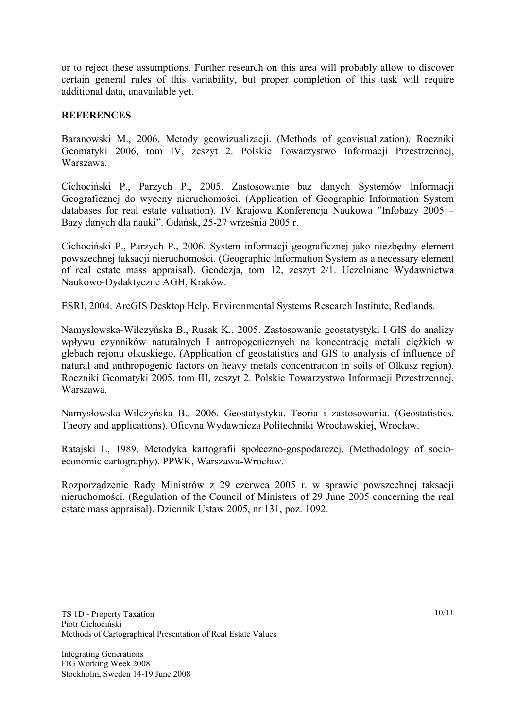or to reject these assumptions. Further research on this area will probably allow to discover certain general rules of this variability, but proper completion of this task will require additional data, unavailable yet.

#### **REFERENCES**

Baranowski M., 2006. Metody geowizualizacji. (Methods of geovisualization). Roczniki Geomatyki 2006, tom IV, zeszyt 2. Polskie Towarzystwo Informacji Przestrzennej, Warszawa.

Cichociński P., Parzych P., 2005. Zastosowanie baz danych Systemów Informacji Geograficznej do wyceny nieruchomości. (Application of Geographic Information System databases for real estate valuation). IV Krajowa Konferencja Naukowa "Infobazy 2005 – Bazy danych dla nauki". Gdańsk, 25-27 września 2005 r.

Cichociński P., Parzych P., 2006. System informacji geograficznej jako niezbędny element powszechnej taksacji nieruchomości. (Geographic Information System as a necessary element of real estate mass appraisal). Geodezja, tom 12, zeszyt 2/1. Uczelniane Wydawnictwa Naukowo-Dydaktyczne AGH, Kraków.

ESRI, 2004. ArcGIS Desktop Help. Environmental Systems Research Institute, Redlands.

Namysłowska-Wilczyńska B., Rusak K., 2005. Zastosowanie geostatystyki I GIS do analizy wpływu czynników naturalnych I antropogenicznych na koncentrację metali ciężkich w glebach rejonu olkuskiego. (Application of geostatistics and GIS to analysis of influence of natural and anthropogenic factors on heavy metals concentration in soils of Olkusz region). Roczniki Geomatyki 2005, tom III, zeszyt 2. Polskie Towarzystwo Informacji Przestrzennej, Warszawa.

Namysłowska-Wilczyńska B., 2006. Geostatystyka. Teoria i zastosowania. (Geostatistics. Theory and applications). Oficyna Wydawnicza Politechniki Wrocławskiej, Wrocław.

Ratajski L, 1989. Metodyka kartografii społeczno-gospodarczej. (Methodology of socioeconomic cartography). PPWK, Warszawa-Wrocław.

Rozporządzenie Rady Ministrów z 29 czerwca 2005 r. w sprawie powszechnej taksacji nieruchomości. (Regulation of the Council of Ministers of 29 June 2005 concerning the real estate mass appraisal). Dziennik Ustaw 2005, nr 131, poz. 1092.